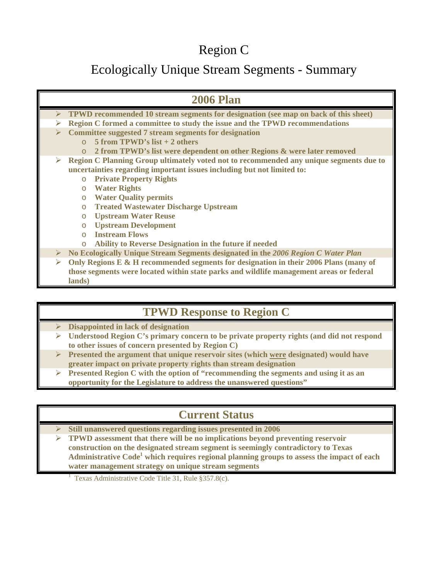## Region C

## Ecologically Unique Stream Segments - Summary

| <b>2006 Plan</b>                                                                                     |  |
|------------------------------------------------------------------------------------------------------|--|
| $\triangleright$ TPWD recommended 10 stream segments for designation (see map on back of this sheet) |  |
| Region C formed a committee to study the issue and the TPWD recommendations<br>➤                     |  |
| <b>Committee suggested 7 stream segments for designation</b><br>➤                                    |  |
| 5 from TPWD's $list + 2$ others<br>$\cap$                                                            |  |
| 2 from TPWD's list were dependent on other Regions & were later removed<br>$\circ$                   |  |
| Region C Planning Group ultimately voted not to recommended any unique segments due to<br>➤          |  |
| uncertainties regarding important issues including but not limited to:                               |  |
| <b>Private Property Rights</b><br>$\circ$                                                            |  |
| <b>Water Rights</b><br>$\circ$                                                                       |  |
| <b>Water Quality permits</b><br>$\circ$                                                              |  |
| <b>Treated Wastewater Discharge Upstream</b><br>$\circ$                                              |  |
| <b>Upstream Water Reuse</b><br>$\circ$                                                               |  |
| <b>Upstream Development</b><br>$\circ$                                                               |  |
| <b>Instream Flows</b><br>$\Omega$                                                                    |  |
| <b>Ability to Reverse Designation in the future if needed</b><br>$\circ$                             |  |
| No Ecologically Unique Stream Segments designated in the 2006 Region C Water Plan<br>≻               |  |
| Only Regions $E \& H$ recommended segments for designation in their 2006 Plans (many of<br>➤         |  |
| those segments were located within state parks and wildlife management areas or federal              |  |
| lands)                                                                                               |  |

## **TPWD Response to Region C**

- ¾ **Disappointed in lack of designation**
- ¾ **Understood Region C's primary concern to be private property rights (and did not respond to other issues of concern presented by Region C)**
- ¾ **Presented the argument that unique reservoir sites (which were designated) would have greater impact on private property rights than stream designation**
- ¾ **Presented Region C with the option of "recommending the segments and using it as an opportunity for the Legislature to address the unanswered questions"**

## **Current Status**

- ¾ **Still unanswered questions regarding issues presented in 2006**
- ¾ **TPWD assessment that there will be no implications beyond preventing reservoir construction on the designated stream segment is seemingly contradictory to Texas**  Administrative Code<sup>1</sup> which requires regional planning groups to assess the impact of each **water management strategy on unique stream segments**

<sup>1</sup> Texas Administrative Code Title 31, Rule §357.8(c).